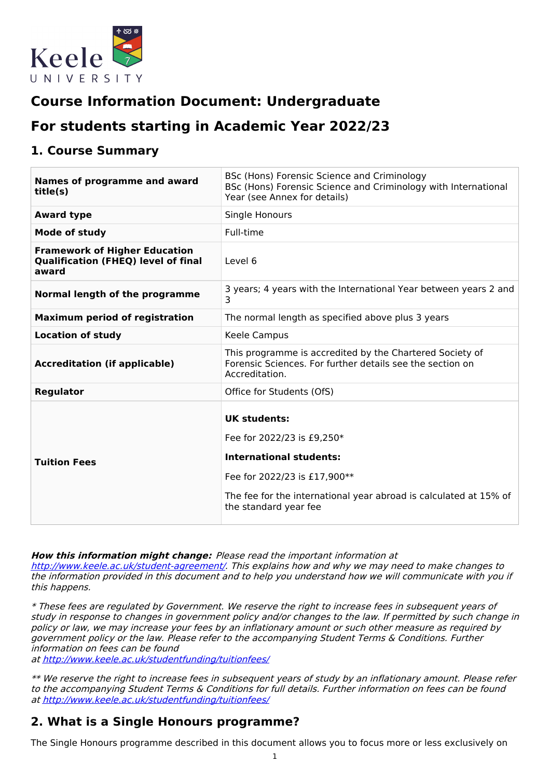

# **Course Information Document: Undergraduate**

# **For students starting in Academic Year 2022/23**

### **1. Course Summary**

| <b>Names of programme and award</b><br>title(s)                                             | BSc (Hons) Forensic Science and Criminology<br>BSc (Hons) Forensic Science and Criminology with International<br>Year (see Annex for details)                                                                     |
|---------------------------------------------------------------------------------------------|-------------------------------------------------------------------------------------------------------------------------------------------------------------------------------------------------------------------|
| <b>Award type</b>                                                                           | Single Honours                                                                                                                                                                                                    |
| <b>Mode of study</b>                                                                        | Full-time                                                                                                                                                                                                         |
| <b>Framework of Higher Education</b><br><b>Qualification (FHEQ) level of final</b><br>award | Level 6                                                                                                                                                                                                           |
| Normal length of the programme                                                              | 3 years; 4 years with the International Year between years 2 and<br>3                                                                                                                                             |
| <b>Maximum period of registration</b>                                                       | The normal length as specified above plus 3 years                                                                                                                                                                 |
| <b>Location of study</b>                                                                    | Keele Campus                                                                                                                                                                                                      |
| <b>Accreditation (if applicable)</b>                                                        | This programme is accredited by the Chartered Society of<br>Forensic Sciences. For further details see the section on<br>Accreditation.                                                                           |
| <b>Regulator</b>                                                                            | Office for Students (OfS)                                                                                                                                                                                         |
| <b>Tuition Fees</b>                                                                         | <b>UK students:</b><br>Fee for 2022/23 is £9,250*<br><b>International students:</b><br>Fee for 2022/23 is £17,900**<br>The fee for the international year abroad is calculated at 15% of<br>the standard year fee |

**How this information might change:** Please read the important information at

<http://www.keele.ac.uk/student-agreement/>. This explains how and why we may need to make changes to the information provided in this document and to help you understand how we will communicate with you if this happens.

\* These fees are regulated by Government. We reserve the right to increase fees in subsequent years of study in response to changes in government policy and/or changes to the law. If permitted by such change in policy or law, we may increase your fees by an inflationary amount or such other measure as required by government policy or the law. Please refer to the accompanying Student Terms & Conditions. Further information on fees can be found

at <http://www.keele.ac.uk/studentfunding/tuitionfees/>

\*\* We reserve the right to increase fees in subsequent years of study by an inflationary amount. Please refer to the accompanying Student Terms & Conditions for full details. Further information on fees can be found at <http://www.keele.ac.uk/studentfunding/tuitionfees/>

## **2. What is a Single Honours programme?**

The Single Honours programme described in this document allows you to focus more or less exclusively on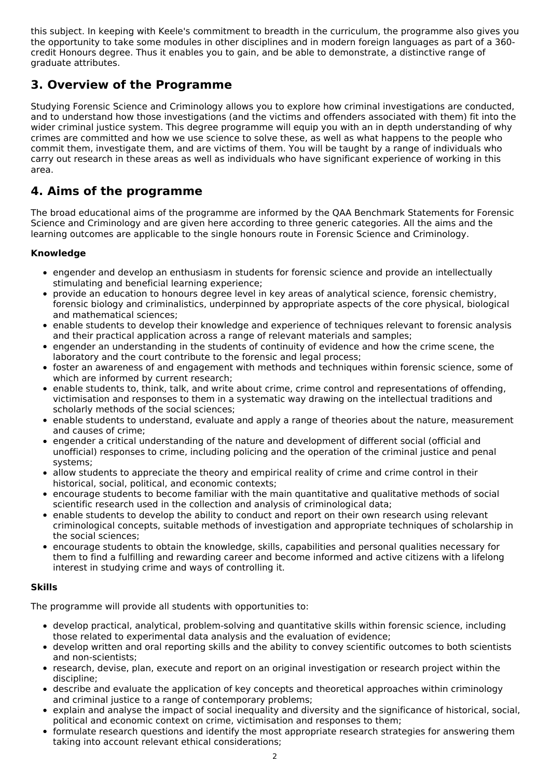this subject. In keeping with Keele's commitment to breadth in the curriculum, the programme also gives you the opportunity to take some modules in other disciplines and in modern foreign languages as part of a 360 credit Honours degree. Thus it enables you to gain, and be able to demonstrate, a distinctive range of graduate attributes.

## **3. Overview of the Programme**

Studying Forensic Science and Criminology allows you to explore how criminal investigations are conducted, and to understand how those investigations (and the victims and offenders associated with them) fit into the wider criminal justice system. This degree programme will equip you with an in depth understanding of why crimes are committed and how we use science to solve these, as well as what happens to the people who commit them, investigate them, and are victims of them. You will be taught by a range of individuals who carry out research in these areas as well as individuals who have significant experience of working in this area.

## **4. Aims of the programme**

The broad educational aims of the programme are informed by the QAA Benchmark Statements for Forensic Science and Criminology and are given here according to three generic categories. All the aims and the learning outcomes are applicable to the single honours route in Forensic Science and Criminology.

#### **Knowledge**

- engender and develop an enthusiasm in students for forensic science and provide an intellectually stimulating and beneficial learning experience;
- provide an education to honours degree level in key areas of analytical science, forensic chemistry, forensic biology and criminalistics, underpinned by appropriate aspects of the core physical, biological and mathematical sciences;
- enable students to develop their knowledge and experience of techniques relevant to forensic analysis  $\bullet$ and their practical application across a range of relevant materials and samples;
- engender an understanding in the students of continuity of evidence and how the crime scene, the laboratory and the court contribute to the forensic and legal process;
- foster an awareness of and engagement with methods and techniques within forensic science, some of  $\bullet$ which are informed by current research;
- enable students to, think, talk, and write about crime, crime control and representations of offending, victimisation and responses to them in a systematic way drawing on the intellectual traditions and scholarly methods of the social sciences;
- enable students to understand, evaluate and apply a range of theories about the nature, measurement and causes of crime;
- engender a critical understanding of the nature and development of different social (official and unofficial) responses to crime, including policing and the operation of the criminal justice and penal systems;
- allow students to appreciate the theory and empirical reality of crime and crime control in their  $\bullet$ historical, social, political, and economic contexts;
- encourage students to become familiar with the main quantitative and qualitative methods of social  $\bullet$ scientific research used in the collection and analysis of criminological data;
- enable students to develop the ability to conduct and report on their own research using relevant criminological concepts, suitable methods of investigation and appropriate techniques of scholarship in the social sciences;
- encourage students to obtain the knowledge, skills, capabilities and personal qualities necessary for them to find a fulfilling and rewarding career and become informed and active citizens with a lifelong interest in studying crime and ways of controlling it.

#### **Skills**

The programme will provide all students with opportunities to:

- develop practical, analytical, problem-solving and quantitative skills within forensic science, including those related to experimental data analysis and the evaluation of evidence;
- develop written and oral reporting skills and the ability to convey scientific outcomes to both scientists and non-scientists;
- research, devise, plan, execute and report on an original investigation or research project within the  $\bullet$ discipline;
- describe and evaluate the application of key concepts and theoretical approaches within criminology and criminal justice to a range of contemporary problems;
- explain and analyse the impact of social inequality and diversity and the significance of historical, social, political and economic context on crime, victimisation and responses to them;
- formulate research questions and identify the most appropriate research strategies for answering them taking into account relevant ethical considerations;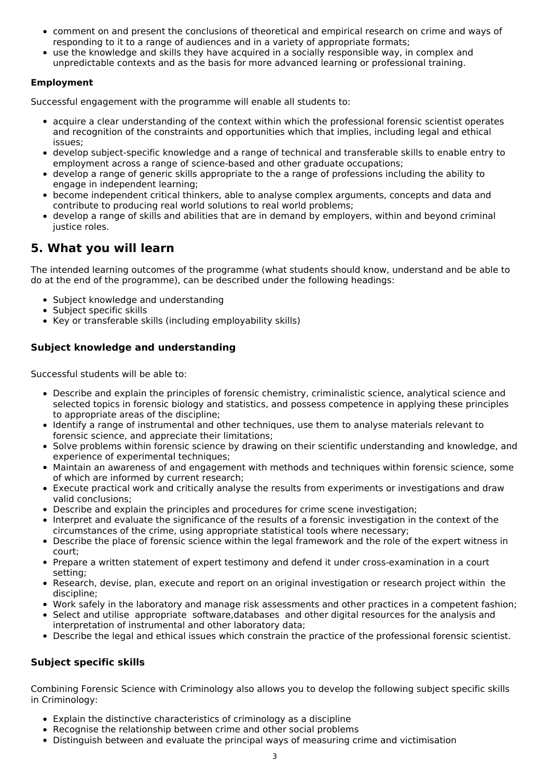- comment on and present the conclusions of theoretical and empirical research on crime and ways of responding to it to a range of audiences and in a variety of appropriate formats;
- use the knowledge and skills they have acquired in a socially responsible way, in complex and unpredictable contexts and as the basis for more advanced learning or professional training.

#### **Employment**

Successful engagement with the programme will enable all students to:

- acquire a clear understanding of the context within which the professional forensic scientist operates and recognition of the constraints and opportunities which that implies, including legal and ethical issues;
- develop subject-specific knowledge and a range of technical and transferable skills to enable entry to employment across a range of science-based and other graduate occupations;
- develop a range of generic skills appropriate to the a range of professions including the ability to engage in independent learning;
- become independent critical thinkers, able to analyse complex arguments, concepts and data and contribute to producing real world solutions to real world problems;
- develop a range of skills and abilities that are in demand by employers, within and beyond criminal justice roles.

### **5. What you will learn**

The intended learning outcomes of the programme (what students should know, understand and be able to do at the end of the programme), can be described under the following headings:

- Subject knowledge and understanding
- Subject specific skills
- Key or transferable skills (including employability skills)

#### **Subject knowledge and understanding**

Successful students will be able to:

- Describe and explain the principles of forensic chemistry, criminalistic science, analytical science and selected topics in forensic biology and statistics, and possess competence in applying these principles to appropriate areas of the discipline;
- Identify a range of instrumental and other techniques, use them to analyse materials relevant to forensic science, and appreciate their limitations;
- Solve problems within forensic science by drawing on their scientific understanding and knowledge, and experience of experimental techniques;
- Maintain an awareness of and engagement with methods and techniques within forensic science, some of which are informed by current research;
- Execute practical work and critically analyse the results from experiments or investigations and draw valid conclusions;
- Describe and explain the principles and procedures for crime scene investigation;
- Interpret and evaluate the significance of the results of a forensic investigation in the context of the circumstances of the crime, using appropriate statistical tools where necessary;
- Describe the place of forensic science within the legal framework and the role of the expert witness in court;
- Prepare a written statement of expert testimony and defend it under cross-examination in a court setting;
- Research, devise, plan, execute and report on an original investigation or research project within the discipline;
- Work safely in the laboratory and manage risk assessments and other practices in a competent fashion;
- Select and utilise appropriate software,databases and other digital resources for the analysis and interpretation of instrumental and other laboratory data;
- Describe the legal and ethical issues which constrain the practice of the professional forensic scientist.

#### **Subject specific skills**

Combining Forensic Science with Criminology also allows you to develop the following subject specific skills in Criminology:

- Explain the distinctive characteristics of criminology as a discipline
- Recognise the relationship between crime and other social problems
- Distinguish between and evaluate the principal ways of measuring crime and victimisation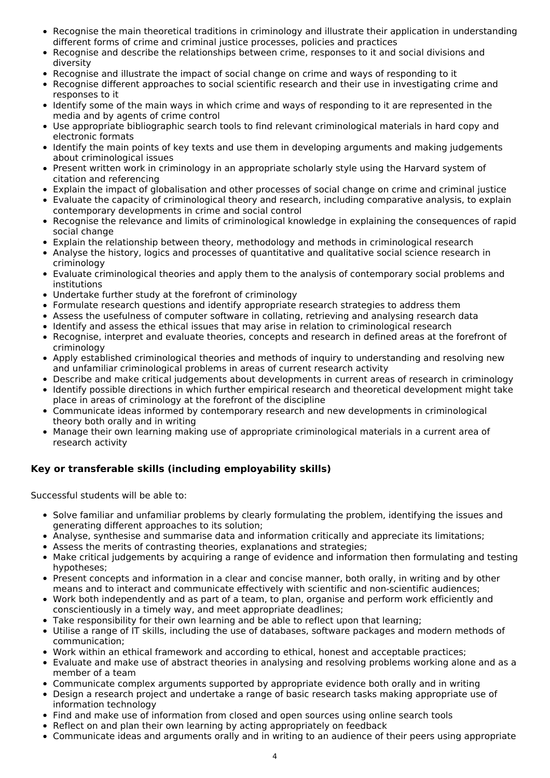- Recognise the main theoretical traditions in criminology and illustrate their application in understanding different forms of crime and criminal justice processes, policies and practices
- Recognise and describe the relationships between crime, responses to it and social divisions and diversity
- Recognise and illustrate the impact of social change on crime and ways of responding to it
- Recognise different approaches to social scientific research and their use in investigating crime and  $\bullet$ responses to it
- Identify some of the main ways in which crime and ways of responding to it are represented in the media and by agents of crime control
- Use appropriate bibliographic search tools to find relevant criminological materials in hard copy and electronic formats
- Identify the main points of key texts and use them in developing arguments and making judgements about criminological issues
- Present written work in criminology in an appropriate scholarly style using the Harvard system of citation and referencing
- Explain the impact of globalisation and other processes of social change on crime and criminal justice
- Evaluate the capacity of criminological theory and research, including comparative analysis, to explain contemporary developments in crime and social control
- Recognise the relevance and limits of criminological knowledge in explaining the consequences of rapid social change
- Explain the relationship between theory, methodology and methods in criminological research
- Analyse the history, logics and processes of quantitative and qualitative social science research in  $\bullet$ criminology
- Evaluate criminological theories and apply them to the analysis of contemporary social problems and  $\bullet$ institutions
- Undertake further study at the forefront of criminology
- Formulate research questions and identify appropriate research strategies to address them
- Assess the usefulness of computer software in collating, retrieving and analysing research data
- Identify and assess the ethical issues that may arise in relation to criminological research
- Recognise, interpret and evaluate theories, concepts and research in defined areas at the forefront of criminology
- Apply established criminological theories and methods of inquiry to understanding and resolving new and unfamiliar criminological problems in areas of current research activity
- Describe and make critical judgements about developments in current areas of research in criminology
- Identify possible directions in which further empirical research and theoretical development might take place in areas of criminology at the forefront of the discipline
- Communicate ideas informed by contemporary research and new developments in criminological theory both orally and in writing
- Manage their own learning making use of appropriate criminological materials in a current area of research activity

#### **Key or transferable skills (including employability skills)**

Successful students will be able to:

- Solve familiar and unfamiliar problems by clearly formulating the problem, identifying the issues and generating different approaches to its solution;
- Analyse, synthesise and summarise data and information critically and appreciate its limitations;
- Assess the merits of contrasting theories, explanations and strategies;
- Make critical judgements by acquiring a range of evidence and information then formulating and testing hypotheses;
- Present concepts and information in a clear and concise manner, both orally, in writing and by other means and to interact and communicate effectively with scientific and non-scientific audiences;
- Work both independently and as part of a team, to plan, organise and perform work efficiently and conscientiously in a timely way, and meet appropriate deadlines;
- Take responsibility for their own learning and be able to reflect upon that learning;
- Utilise a range of IT skills, including the use of databases, software packages and modern methods of communication;
- Work within an ethical framework and according to ethical, honest and acceptable practices;
- Evaluate and make use of abstract theories in analysing and resolving problems working alone and as a member of a team
- Communicate complex arguments supported by appropriate evidence both orally and in writing
- Design a research project and undertake a range of basic research tasks making appropriate use of information technology
- Find and make use of information from closed and open sources using online search tools
- Reflect on and plan their own learning by acting appropriately on feedback
- Communicate ideas and arguments orally and in writing to an audience of their peers using appropriate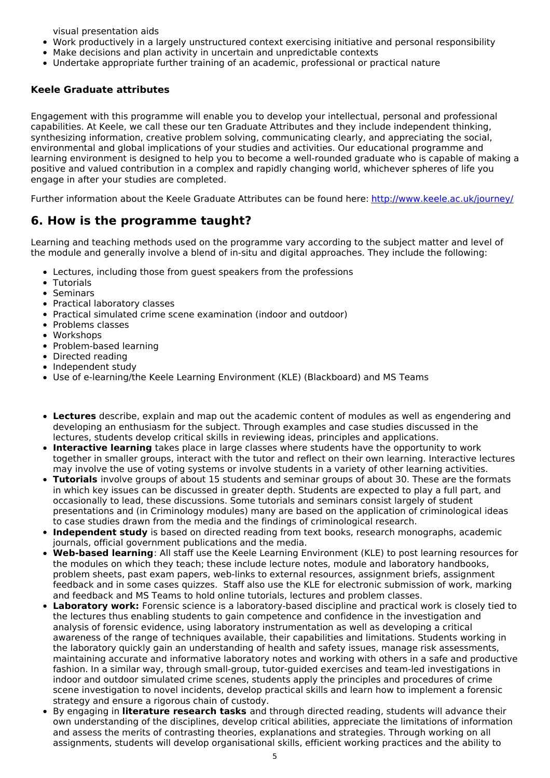visual presentation aids

- Work productively in a largely unstructured context exercising initiative and personal responsibility
- Make decisions and plan activity in uncertain and unpredictable contexts
- Undertake appropriate further training of an academic, professional or practical nature

#### **Keele Graduate attributes**

Engagement with this programme will enable you to develop your intellectual, personal and professional capabilities. At Keele, we call these our ten Graduate Attributes and they include independent thinking, synthesizing information, creative problem solving, communicating clearly, and appreciating the social, environmental and global implications of your studies and activities. Our educational programme and learning environment is designed to help you to become a well-rounded graduate who is capable of making a positive and valued contribution in a complex and rapidly changing world, whichever spheres of life you engage in after your studies are completed.

Further information about the Keele Graduate Attributes can be found here: <http://www.keele.ac.uk/journey/>

## **6. How is the programme taught?**

Learning and teaching methods used on the programme vary according to the subject matter and level of the module and generally involve a blend of in-situ and digital approaches. They include the following:

- Lectures, including those from guest speakers from the professions
- Tutorials
- Seminars
- Practical laboratory classes
- Practical simulated crime scene examination (indoor and outdoor)
- Problems classes
- Workshops
- Problem-based learning
- Directed reading
- Independent study
- Use of e-learning/the Keele Learning Environment (KLE) (Blackboard) and MS Teams
- **Lectures** describe, explain and map out the academic content of modules as well as engendering and developing an enthusiasm for the subject. Through examples and case studies discussed in the lectures, students develop critical skills in reviewing ideas, principles and applications.
- **Interactive learning** takes place in large classes where students have the opportunity to work together in smaller groups, interact with the tutor and reflect on their own learning. Interactive lectures may involve the use of voting systems or involve students in a variety of other learning activities.
- **Tutorials** involve groups of about 15 students and seminar groups of about 30. These are the formats in which key issues can be discussed in greater depth. Students are expected to play a full part, and occasionally to lead, these discussions. Some tutorials and seminars consist largely of student presentations and (in Criminology modules) many are based on the application of criminological ideas to case studies drawn from the media and the findings of criminological research.
- **Independent study** is based on directed reading from text books, research monographs, academic journals, official government publications and the media.
- **Web-based learning**: All staff use the Keele Learning Environment (KLE) to post learning resources for the modules on which they teach; these include lecture notes, module and laboratory handbooks, problem sheets, past exam papers, web-links to external resources, assignment briefs, assignment feedback and in some cases quizzes. Staff also use the KLE for electronic submission of work, marking and feedback and MS Teams to hold online tutorials, lectures and problem classes.
- **Laboratory work:** Forensic science is a laboratory-based discipline and practical work is closely tied to the lectures thus enabling students to gain competence and confidence in the investigation and analysis of forensic evidence, using laboratory instrumentation as well as developing a critical awareness of the range of techniques available, their capabilities and limitations. Students working in the laboratory quickly gain an understanding of health and safety issues, manage risk assessments, maintaining accurate and informative laboratory notes and working with others in a safe and productive fashion. In a similar way, through small-group, tutor-guided exercises and team-led investigations in indoor and outdoor simulated crime scenes, students apply the principles and procedures of crime scene investigation to novel incidents, develop practical skills and learn how to implement a forensic strategy and ensure a rigorous chain of custody.
- By engaging in **literature research tasks** and through directed reading, students will advance their own understanding of the disciplines, develop critical abilities, appreciate the limitations of information and assess the merits of contrasting theories, explanations and strategies. Through working on all assignments, students will develop organisational skills, efficient working practices and the ability to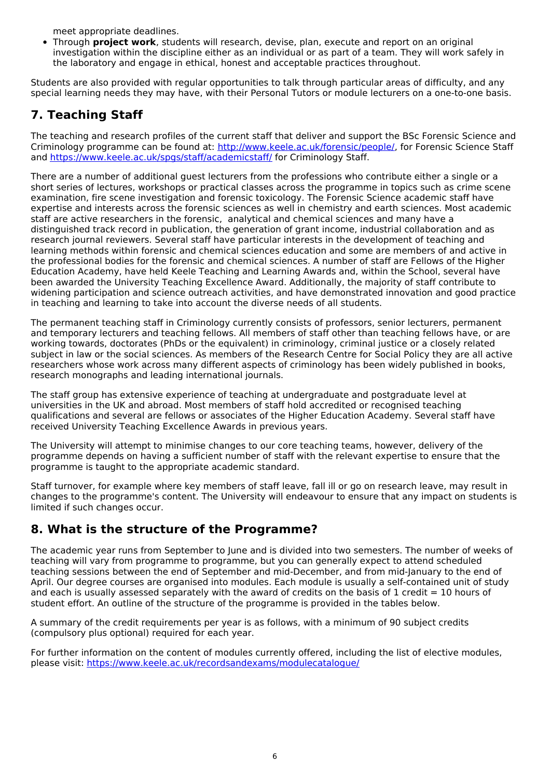meet appropriate deadlines.

Through **project work**, students will research, devise, plan, execute and report on an original investigation within the discipline either as an individual or as part of a team. They will work safely in the laboratory and engage in ethical, honest and acceptable practices throughout.

Students are also provided with regular opportunities to talk through particular areas of difficulty, and any special learning needs they may have, with their Personal Tutors or module lecturers on a one-to-one basis.

## **7. Teaching Staff**

The teaching and research profiles of the current staff that deliver and support the BSc Forensic Science and Criminology programme can be found at: <http://www.keele.ac.uk/forensic/people/>, for Forensic Science Staff and <https://www.keele.ac.uk/spgs/staff/academicstaff/> for Criminology Staff.

There are a number of additional guest lecturers from the professions who contribute either a single or a short series of lectures, workshops or practical classes across the programme in topics such as crime scene examination, fire scene investigation and forensic toxicology. The Forensic Science academic staff have expertise and interests across the forensic sciences as well in chemistry and earth sciences. Most academic staff are active researchers in the forensic, analytical and chemical sciences and many have a distinguished track record in publication, the generation of grant income, industrial collaboration and as research journal reviewers. Several staff have particular interests in the development of teaching and learning methods within forensic and chemical sciences education and some are members of and active in the professional bodies for the forensic and chemical sciences. A number of staff are Fellows of the Higher Education Academy, have held Keele Teaching and Learning Awards and, within the School, several have been awarded the University Teaching Excellence Award. Additionally, the majority of staff contribute to widening participation and science outreach activities, and have demonstrated innovation and good practice in teaching and learning to take into account the diverse needs of all students.

The permanent teaching staff in Criminology currently consists of professors, senior lecturers, permanent and temporary lecturers and teaching fellows. All members of staff other than teaching fellows have, or are working towards, doctorates (PhDs or the equivalent) in criminology, criminal justice or a closely related subject in law or the social sciences. As members of the Research Centre for Social Policy they are all active researchers whose work across many different aspects of criminology has been widely published in books, research monographs and leading international journals.

The staff group has extensive experience of teaching at undergraduate and postgraduate level at universities in the UK and abroad. Most members of staff hold accredited or recognised teaching qualifications and several are fellows or associates of the Higher Education Academy. Several staff have received University Teaching Excellence Awards in previous years.

The University will attempt to minimise changes to our core teaching teams, however, delivery of the programme depends on having a sufficient number of staff with the relevant expertise to ensure that the programme is taught to the appropriate academic standard.

Staff turnover, for example where key members of staff leave, fall ill or go on research leave, may result in changes to the programme's content. The University will endeavour to ensure that any impact on students is limited if such changes occur.

### **8. What is the structure of the Programme?**

The academic year runs from September to June and is divided into two semesters. The number of weeks of teaching will vary from programme to programme, but you can generally expect to attend scheduled teaching sessions between the end of September and mid-December, and from mid-January to the end of April. Our degree courses are organised into modules. Each module is usually a self-contained unit of study and each is usually assessed separately with the award of credits on the basis of 1 credit  $= 10$  hours of student effort. An outline of the structure of the programme is provided in the tables below.

A summary of the credit requirements per year is as follows, with a minimum of 90 subject credits (compulsory plus optional) required for each year.

For further information on the content of modules currently offered, including the list of elective modules, please visit: <https://www.keele.ac.uk/recordsandexams/modulecatalogue/>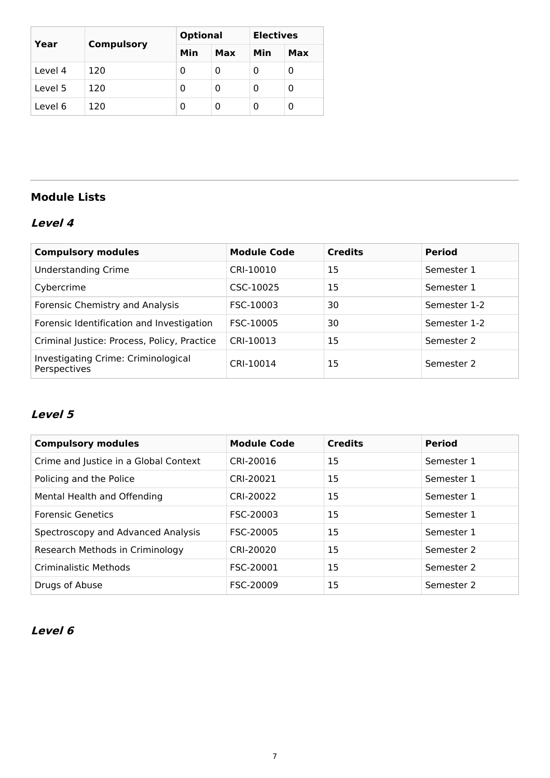| Year    | <b>Compulsory</b> | <b>Optional</b> |     | <b>Electives</b> |     |
|---------|-------------------|-----------------|-----|------------------|-----|
|         |                   | Min             | Max | Min              | Max |
| Level 4 | 120               | 0               | 0   |                  | 0   |
| Level 5 | 120               | 0               | 0   |                  | 0   |
| Level 6 | 120               | 0               | 0   |                  | 0   |

## **Module Lists**

## **Level 4**

| <b>Compulsory modules</b>                           | <b>Module Code</b> | <b>Credits</b> | <b>Period</b> |
|-----------------------------------------------------|--------------------|----------------|---------------|
| <b>Understanding Crime</b>                          | CRI-10010          | 15             | Semester 1    |
| Cybercrime                                          | CSC-10025          | 15             | Semester 1    |
| Forensic Chemistry and Analysis                     | FSC-10003          | 30             | Semester 1-2  |
| Forensic Identification and Investigation           | FSC-10005          | 30             | Semester 1-2  |
| Criminal Justice: Process, Policy, Practice         | CRI-10013          | 15             | Semester 2    |
| Investigating Crime: Criminological<br>Perspectives | CRI-10014          | 15             | Semester 2    |

### **Level 5**

| <b>Compulsory modules</b>             | <b>Module Code</b> | <b>Credits</b> | <b>Period</b> |
|---------------------------------------|--------------------|----------------|---------------|
| Crime and Justice in a Global Context | CRI-20016          | 15             | Semester 1    |
| Policing and the Police               | CRI-20021          | 15             | Semester 1    |
| Mental Health and Offending           | CRI-20022          | 15             | Semester 1    |
| <b>Forensic Genetics</b>              | FSC-20003          | 15             | Semester 1    |
| Spectroscopy and Advanced Analysis    | FSC-20005          | 15             | Semester 1    |
| Research Methods in Criminology       | CRI-20020          | 15             | Semester 2    |
| Criminalistic Methods                 | FSC-20001          | 15             | Semester 2    |
| Drugs of Abuse                        | FSC-20009          | 15             | Semester 2    |

## **Level 6**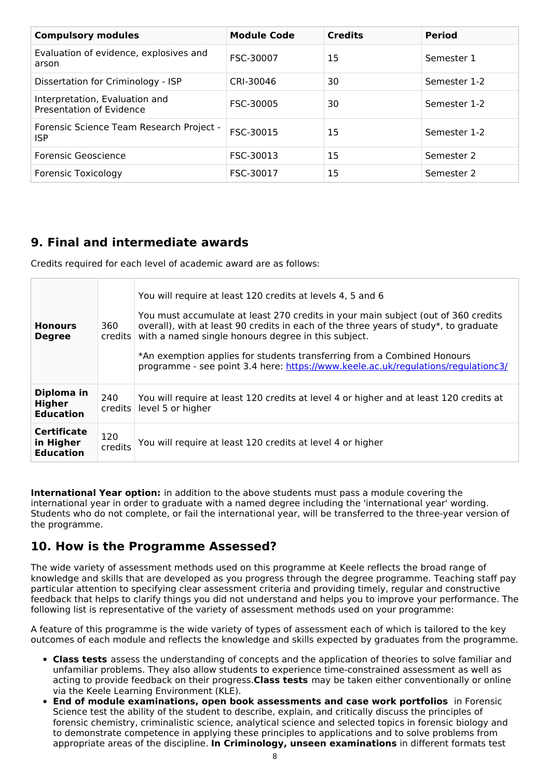| <b>Compulsory modules</b>                                  | <b>Module Code</b> | <b>Credits</b> | <b>Period</b> |
|------------------------------------------------------------|--------------------|----------------|---------------|
| Evaluation of evidence, explosives and<br>arson            | FSC-30007          | 15             | Semester 1    |
| Dissertation for Criminology - ISP                         | CRI-30046          | 30             | Semester 1-2  |
| Interpretation, Evaluation and<br>Presentation of Evidence | FSC-30005          | 30             | Semester 1-2  |
| Forensic Science Team Research Project -<br><b>ISP</b>     | FSC-30015          | 15             | Semester 1-2  |
| Forensic Geoscience                                        | FSC-30013          | 15             | Semester 2    |
| <b>Forensic Toxicology</b>                                 | FSC-30017          | 15             | Semester 2    |

## **9. Final and intermediate awards**

Credits required for each level of academic award are as follows:

| <b>Honours</b><br><b>Degree</b>                     | 360<br>credits | You will require at least 120 credits at levels 4, 5 and 6<br>You must accumulate at least 270 credits in your main subject (out of 360 credits<br>overall), with at least 90 credits in each of the three years of study*, to graduate<br>with a named single honours degree in this subject.<br>*An exemption applies for students transferring from a Combined Honours<br>programme - see point 3.4 here: https://www.keele.ac.uk/regulations/regulationc3/ |
|-----------------------------------------------------|----------------|----------------------------------------------------------------------------------------------------------------------------------------------------------------------------------------------------------------------------------------------------------------------------------------------------------------------------------------------------------------------------------------------------------------------------------------------------------------|
| Diploma in<br>Higher<br><b>Education</b>            | 240<br>credits | You will require at least 120 credits at level 4 or higher and at least 120 credits at<br>level 5 or higher                                                                                                                                                                                                                                                                                                                                                    |
| <b>Certificate</b><br>in Higher<br><b>Education</b> | 120<br>credits | You will require at least 120 credits at level 4 or higher                                                                                                                                                                                                                                                                                                                                                                                                     |

**International Year option:** in addition to the above students must pass a module covering the international year in order to graduate with a named degree including the 'international year' wording. Students who do not complete, or fail the international year, will be transferred to the three-year version of the programme.

### **10. How is the Programme Assessed?**

The wide variety of assessment methods used on this programme at Keele reflects the broad range of knowledge and skills that are developed as you progress through the degree programme. Teaching staff pay particular attention to specifying clear assessment criteria and providing timely, regular and constructive feedback that helps to clarify things you did not understand and helps you to improve your performance. The following list is representative of the variety of assessment methods used on your programme:

A feature of this programme is the wide variety of types of assessment each of which is tailored to the key outcomes of each module and reflects the knowledge and skills expected by graduates from the programme.

- **Class tests** assess the understanding of concepts and the application of theories to solve familiar and unfamiliar problems. They also allow students to experience time-constrained assessment as well as acting to provide feedback on their progress.**Class tests** may be taken either conventionally or online via the Keele Learning Environment (KLE).
- **End of module examinations, open book assessments and case work portfolios** in Forensic Science test the ability of the student to describe, explain, and critically discuss the principles of forensic chemistry, criminalistic science, analytical science and selected topics in forensic biology and to demonstrate competence in applying these principles to applications and to solve problems from appropriate areas of the discipline. **In Criminology, unseen examinations** in different formats test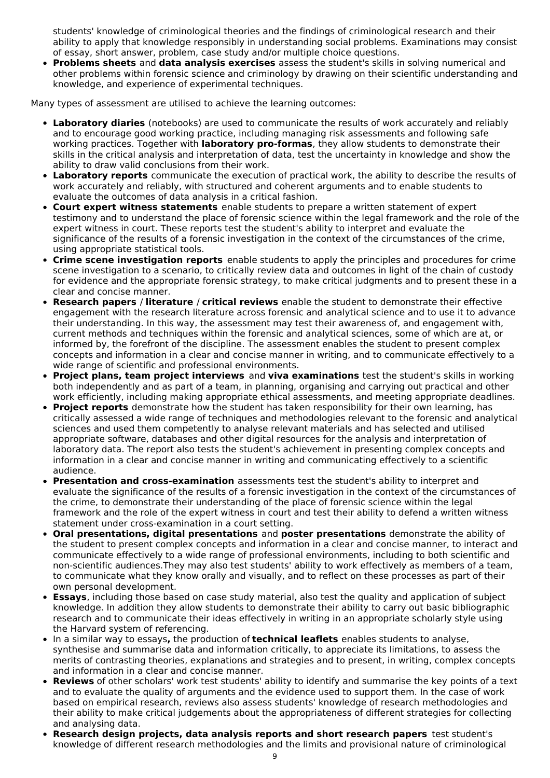students' knowledge of criminological theories and the findings of criminological research and their ability to apply that knowledge responsibly in understanding social problems. Examinations may consist of essay, short answer, problem, case study and/or multiple choice questions.

**Problems sheets** and **data analysis exercises** assess the student's skills in solving numerical and other problems within forensic science and criminology by drawing on their scientific understanding and knowledge, and experience of experimental techniques.

Many types of assessment are utilised to achieve the learning outcomes:

- **Laboratory diaries** (notebooks) are used to communicate the results of work accurately and reliably and to encourage good working practice, including managing risk assessments and following safe working practices. Together with **laboratory pro-formas**, they allow students to demonstrate their skills in the critical analysis and interpretation of data, test the uncertainty in knowledge and show the ability to draw valid conclusions from their work.
- **Laboratory reports** communicate the execution of practical work, the ability to describe the results of work accurately and reliably, with structured and coherent arguments and to enable students to evaluate the outcomes of data analysis in a critical fashion.
- **Court expert witness statements** enable students to prepare a written statement of expert testimony and to understand the place of forensic science within the legal framework and the role of the expert witness in court. These reports test the student's ability to interpret and evaluate the significance of the results of a forensic investigation in the context of the circumstances of the crime, using appropriate statistical tools.
- **Crime scene investigation reports** enable students to apply the principles and procedures for crime scene investigation to a scenario, to critically review data and outcomes in light of the chain of custody for evidence and the appropriate forensic strategy, to make critical judgments and to present these in a clear and concise manner.
- **Research papers** / **literature** / **critical reviews** enable the student to demonstrate their effective engagement with the research literature across forensic and analytical science and to use it to advance their understanding. In this way, the assessment may test their awareness of, and engagement with, current methods and techniques within the forensic and analytical sciences, some of which are at, or informed by, the forefront of the discipline. The assessment enables the student to present complex concepts and information in a clear and concise manner in writing, and to communicate effectively to a wide range of scientific and professional environments.
- **Project plans, team project interviews** and **viva examinations** test the student's skills in working both independently and as part of a team, in planning, organising and carrying out practical and other work efficiently, including making appropriate ethical assessments, and meeting appropriate deadlines.
- **Project reports** demonstrate how the student has taken responsibility for their own learning, has critically assessed a wide range of techniques and methodologies relevant to the forensic and analytical sciences and used them competently to analyse relevant materials and has selected and utilised appropriate software, databases and other digital resources for the analysis and interpretation of laboratory data. The report also tests the student's achievement in presenting complex concepts and information in a clear and concise manner in writing and communicating effectively to a scientific audience.
- **Presentation and cross-examination** assessments test the student's ability to interpret and evaluate the significance of the results of a forensic investigation in the context of the circumstances of the crime, to demonstrate their understanding of the place of forensic science within the legal framework and the role of the expert witness in court and test their ability to defend a written witness statement under cross-examination in a court setting.
- **Oral presentations, digital presentations** and **poster presentations** demonstrate the ability of the student to present complex concepts and information in a clear and concise manner, to interact and communicate effectively to a wide range of professional environments, including to both scientific and non-scientific audiences.They may also test students' ability to work effectively as members of a team, to communicate what they know orally and visually, and to reflect on these processes as part of their own personal development.
- **Essays**, including those based on case study material, also test the quality and application of subject knowledge. In addition they allow students to demonstrate their ability to carry out basic bibliographic research and to communicate their ideas effectively in writing in an appropriate scholarly style using the Harvard system of referencing.
- In a similar way to essays**,** the production of **technical leaflets** enables students to analyse, synthesise and summarise data and information critically, to appreciate its limitations, to assess the merits of contrasting theories, explanations and strategies and to present, in writing, complex concepts and information in a clear and concise manner.
- **Reviews** of other scholars' work test students' ability to identify and summarise the key points of a text and to evaluate the quality of arguments and the evidence used to support them. In the case of work based on empirical research, reviews also assess students' knowledge of research methodologies and their ability to make critical judgements about the appropriateness of different strategies for collecting and analysing data.
- **Research design projects, data analysis reports and short research papers** test student's knowledge of different research methodologies and the limits and provisional nature of criminological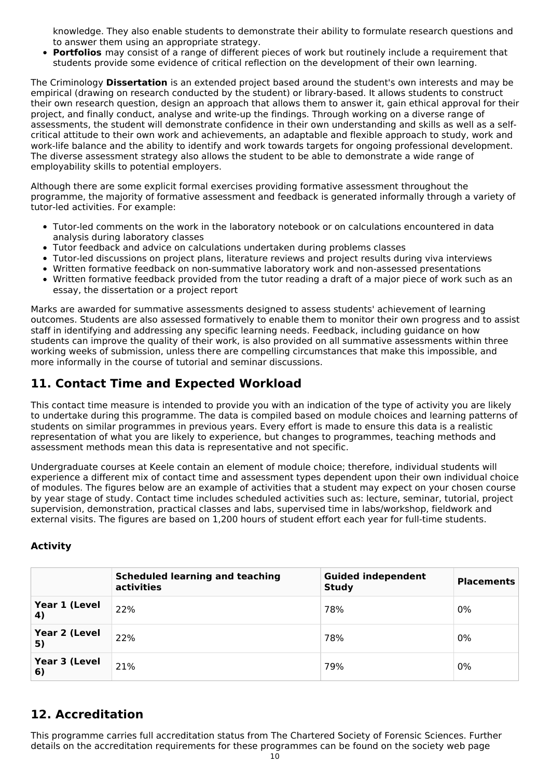knowledge. They also enable students to demonstrate their ability to formulate research questions and to answer them using an appropriate strategy.

**Portfolios** may consist of a range of different pieces of work but routinely include a requirement that students provide some evidence of critical reflection on the development of their own learning.

The Criminology **Dissertation** is an extended project based around the student's own interests and may be empirical (drawing on research conducted by the student) or library-based. It allows students to construct their own research question, design an approach that allows them to answer it, gain ethical approval for their project, and finally conduct, analyse and write-up the findings. Through working on a diverse range of assessments, the student will demonstrate confidence in their own understanding and skills as well as a selfcritical attitude to their own work and achievements, an adaptable and flexible approach to study, work and work-life balance and the ability to identify and work towards targets for ongoing professional development. The diverse assessment strategy also allows the student to be able to demonstrate a wide range of employability skills to potential employers.

Although there are some explicit formal exercises providing formative assessment throughout the programme, the majority of formative assessment and feedback is generated informally through a variety of tutor-led activities. For example:

- Tutor-led comments on the work in the laboratory notebook or on calculations encountered in data analysis during laboratory classes
- Tutor feedback and advice on calculations undertaken during problems classes
- Tutor-led discussions on project plans, literature reviews and project results during viva interviews
- Written formative feedback on non-summative laboratory work and non-assessed presentations
- Written formative feedback provided from the tutor reading a draft of a major piece of work such as an essay, the dissertation or a project report

Marks are awarded for summative assessments designed to assess students' achievement of learning outcomes. Students are also assessed formatively to enable them to monitor their own progress and to assist staff in identifying and addressing any specific learning needs. Feedback, including guidance on how students can improve the quality of their work, is also provided on all summative assessments within three working weeks of submission, unless there are compelling circumstances that make this impossible, and more informally in the course of tutorial and seminar discussions.

## **11. Contact Time and Expected Workload**

This contact time measure is intended to provide you with an indication of the type of activity you are likely to undertake during this programme. The data is compiled based on module choices and learning patterns of students on similar programmes in previous years. Every effort is made to ensure this data is a realistic representation of what you are likely to experience, but changes to programmes, teaching methods and assessment methods mean this data is representative and not specific.

Undergraduate courses at Keele contain an element of module choice; therefore, individual students will experience a different mix of contact time and assessment types dependent upon their own individual choice of modules. The figures below are an example of activities that a student may expect on your chosen course by year stage of study. Contact time includes scheduled activities such as: lecture, seminar, tutorial, project supervision, demonstration, practical classes and labs, supervised time in labs/workshop, fieldwork and external visits. The figures are based on 1,200 hours of student effort each year for full-time students.

#### **Activity**

|                     | <b>Scheduled learning and teaching</b><br>activities | <b>Guided independent</b><br><b>Study</b> | <b>Placements</b> |
|---------------------|------------------------------------------------------|-------------------------------------------|-------------------|
| Year 1 (Level<br>4) | 22%                                                  | 78%                                       | 0%                |
| Year 2 (Level<br>5) | 22%                                                  | 78%                                       | 0%                |
| Year 3 (Level<br>6) | 21%                                                  | 79%                                       | 0%                |

## **12. Accreditation**

This programme carries full accreditation status from The Chartered Society of Forensic Sciences. Further details on the accreditation requirements for these programmes can be found on the society web page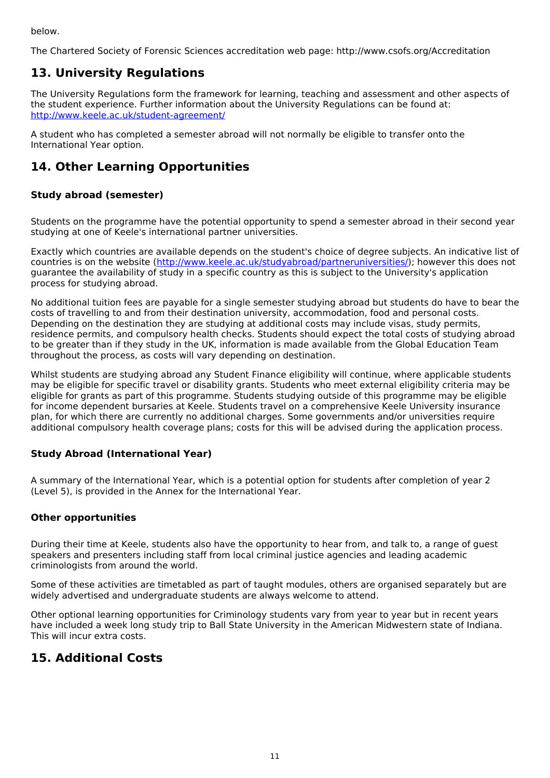below.

The Chartered Society of Forensic Sciences accreditation web page: http://www.csofs.org/Accreditation

## **13. University Regulations**

The University Regulations form the framework for learning, teaching and assessment and other aspects of the student experience. Further information about the University Regulations can be found at: <http://www.keele.ac.uk/student-agreement/>

A student who has completed a semester abroad will not normally be eligible to transfer onto the International Year option.

## **14. Other Learning Opportunities**

#### **Study abroad (semester)**

Students on the programme have the potential opportunity to spend a semester abroad in their second year studying at one of Keele's international partner universities.

Exactly which countries are available depends on the student's choice of degree subjects. An indicative list of countries is on the website (<http://www.keele.ac.uk/studyabroad/partneruniversities/>); however this does not guarantee the availability of study in a specific country as this is subject to the University's application process for studying abroad.

No additional tuition fees are payable for a single semester studying abroad but students do have to bear the costs of travelling to and from their destination university, accommodation, food and personal costs. Depending on the destination they are studying at additional costs may include visas, study permits, residence permits, and compulsory health checks. Students should expect the total costs of studying abroad to be greater than if they study in the UK, information is made available from the Global Education Team throughout the process, as costs will vary depending on destination.

Whilst students are studying abroad any Student Finance eligibility will continue, where applicable students may be eligible for specific travel or disability grants. Students who meet external eligibility criteria may be eligible for grants as part of this programme. Students studying outside of this programme may be eligible for income dependent bursaries at Keele. Students travel on a comprehensive Keele University insurance plan, for which there are currently no additional charges. Some governments and/or universities require additional compulsory health coverage plans; costs for this will be advised during the application process.

#### **Study Abroad (International Year)**

A summary of the International Year, which is a potential option for students after completion of year 2 (Level 5), is provided in the Annex for the International Year.

#### **Other opportunities**

During their time at Keele, students also have the opportunity to hear from, and talk to, a range of guest speakers and presenters including staff from local criminal justice agencies and leading academic criminologists from around the world.

Some of these activities are timetabled as part of taught modules, others are organised separately but are widely advertised and undergraduate students are always welcome to attend.

Other optional learning opportunities for Criminology students vary from year to year but in recent years have included a week long study trip to Ball State University in the American Midwestern state of Indiana. This will incur extra costs.

### **15. Additional Costs**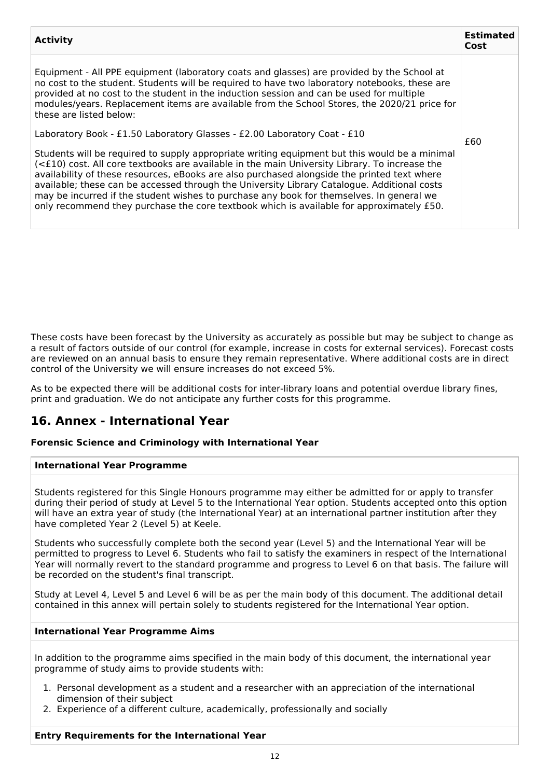| <b>Activity</b>                                                                                                                                                                                                                                                                                                                                                                                                                                                                                                                                                                                                                                                  | <b>Estimated</b><br>Cost |
|------------------------------------------------------------------------------------------------------------------------------------------------------------------------------------------------------------------------------------------------------------------------------------------------------------------------------------------------------------------------------------------------------------------------------------------------------------------------------------------------------------------------------------------------------------------------------------------------------------------------------------------------------------------|--------------------------|
| Equipment - All PPE equipment (laboratory coats and glasses) are provided by the School at<br>no cost to the student. Students will be required to have two laboratory notebooks, these are<br>provided at no cost to the student in the induction session and can be used for multiple<br>modules/years. Replacement items are available from the School Stores, the 2020/21 price for<br>these are listed below:                                                                                                                                                                                                                                               |                          |
| Laboratory Book - £1.50 Laboratory Glasses - £2.00 Laboratory Coat - £10<br>Students will be required to supply appropriate writing equipment but this would be a minimal<br>(<£10) cost. All core textbooks are available in the main University Library. To increase the<br>availability of these resources, eBooks are also purchased alongside the printed text where<br>available; these can be accessed through the University Library Catalogue. Additional costs<br>may be incurred if the student wishes to purchase any book for themselves. In general we<br>only recommend they purchase the core textbook which is available for approximately £50. | £60                      |

These costs have been forecast by the University as accurately as possible but may be subject to change as a result of factors outside of our control (for example, increase in costs for external services). Forecast costs are reviewed on an annual basis to ensure they remain representative. Where additional costs are in direct control of the University we will ensure increases do not exceed 5%.

As to be expected there will be additional costs for inter-library loans and potential overdue library fines, print and graduation. We do not anticipate any further costs for this programme.

## **16. Annex - International Year**

#### **Forensic Science and Criminology with International Year**

#### **International Year Programme**

Students registered for this Single Honours programme may either be admitted for or apply to transfer during their period of study at Level 5 to the International Year option. Students accepted onto this option will have an extra year of study (the International Year) at an international partner institution after they have completed Year 2 (Level 5) at Keele.

Students who successfully complete both the second year (Level 5) and the International Year will be permitted to progress to Level 6. Students who fail to satisfy the examiners in respect of the International Year will normally revert to the standard programme and progress to Level 6 on that basis. The failure will be recorded on the student's final transcript.

Study at Level 4, Level 5 and Level 6 will be as per the main body of this document. The additional detail contained in this annex will pertain solely to students registered for the International Year option.

#### **International Year Programme Aims**

In addition to the programme aims specified in the main body of this document, the international year programme of study aims to provide students with:

- 1. Personal development as a student and a researcher with an appreciation of the international dimension of their subject
- 2. Experience of a different culture, academically, professionally and socially

#### **Entry Requirements for the International Year**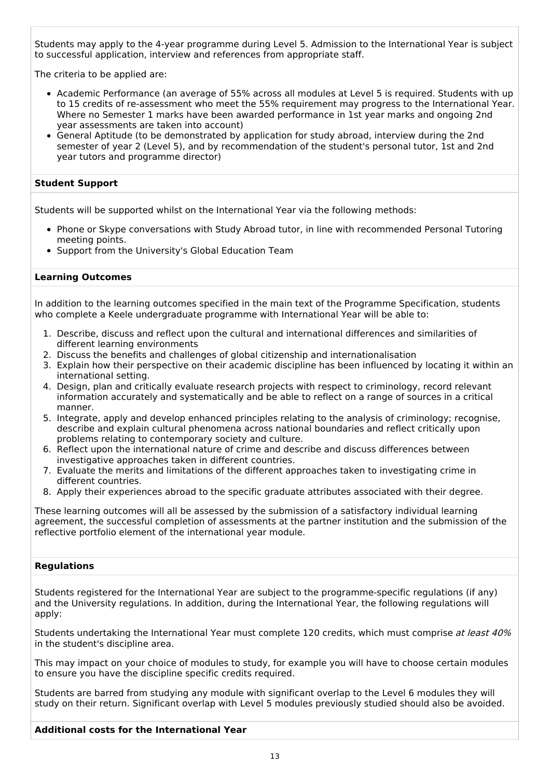Students may apply to the 4-year programme during Level 5. Admission to the International Year is subject to successful application, interview and references from appropriate staff.

The criteria to be applied are:

- Academic Performance (an average of 55% across all modules at Level 5 is required. Students with up to 15 credits of re-assessment who meet the 55% requirement may progress to the International Year. Where no Semester 1 marks have been awarded performance in 1st year marks and ongoing 2nd year assessments are taken into account)
- General Aptitude (to be demonstrated by application for study abroad, interview during the 2nd semester of year 2 (Level 5), and by recommendation of the student's personal tutor, 1st and 2nd year tutors and programme director)

#### **Student Support**

Students will be supported whilst on the International Year via the following methods:

- Phone or Skype conversations with Study Abroad tutor, in line with recommended Personal Tutoring meeting points.
- Support from the University's Global Education Team

#### **Learning Outcomes**

In addition to the learning outcomes specified in the main text of the Programme Specification, students who complete a Keele undergraduate programme with International Year will be able to:

- 1. Describe, discuss and reflect upon the cultural and international differences and similarities of different learning environments
- 2. Discuss the benefits and challenges of global citizenship and internationalisation
- 3. Explain how their perspective on their academic discipline has been influenced by locating it within an international setting.
- 4. Design, plan and critically evaluate research projects with respect to criminology, record relevant information accurately and systematically and be able to reflect on a range of sources in a critical manner.
- 5. Integrate, apply and develop enhanced principles relating to the analysis of criminology; recognise, describe and explain cultural phenomena across national boundaries and reflect critically upon problems relating to contemporary society and culture.
- 6. Reflect upon the international nature of crime and describe and discuss differences between investigative approaches taken in different countries.
- 7. Evaluate the merits and limitations of the different approaches taken to investigating crime in different countries.
- 8. Apply their experiences abroad to the specific graduate attributes associated with their degree.

These learning outcomes will all be assessed by the submission of a satisfactory individual learning agreement, the successful completion of assessments at the partner institution and the submission of the reflective portfolio element of the international year module.

#### **Regulations**

Students registered for the International Year are subject to the programme-specific regulations (if any) and the University regulations. In addition, during the International Year, the following regulations will apply:

Students undertaking the International Year must complete 120 credits, which must comprise at least 40% in the student's discipline area.

This may impact on your choice of modules to study, for example you will have to choose certain modules to ensure you have the discipline specific credits required.

Students are barred from studying any module with significant overlap to the Level 6 modules they will study on their return. Significant overlap with Level 5 modules previously studied should also be avoided.

#### **Additional costs for the International Year**